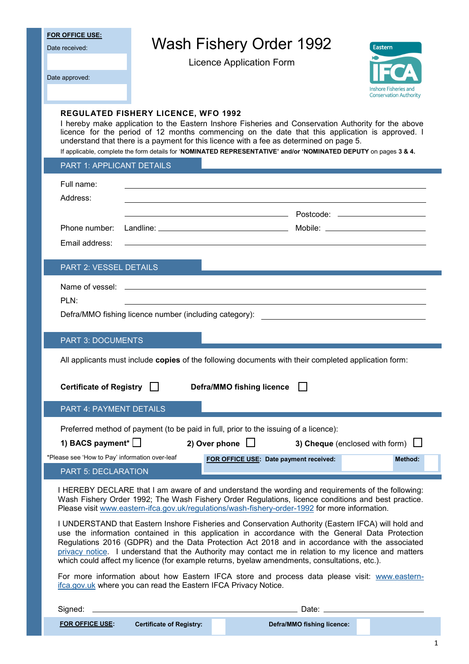| <b>FOR OFFICE USE:</b>                                                                                                                                                                                                                                                                                                                                                                                                                                                                                            |                                                                                                                                                                                                                                                                                                                                                                                                                                                                     |                                        |                                                                                                                                                                                                                                                                                               |                                                        |
|-------------------------------------------------------------------------------------------------------------------------------------------------------------------------------------------------------------------------------------------------------------------------------------------------------------------------------------------------------------------------------------------------------------------------------------------------------------------------------------------------------------------|---------------------------------------------------------------------------------------------------------------------------------------------------------------------------------------------------------------------------------------------------------------------------------------------------------------------------------------------------------------------------------------------------------------------------------------------------------------------|----------------------------------------|-----------------------------------------------------------------------------------------------------------------------------------------------------------------------------------------------------------------------------------------------------------------------------------------------|--------------------------------------------------------|
| Date received:                                                                                                                                                                                                                                                                                                                                                                                                                                                                                                    | <b>Wash Fishery Order 1992</b><br><b>Eastern</b>                                                                                                                                                                                                                                                                                                                                                                                                                    |                                        |                                                                                                                                                                                                                                                                                               |                                                        |
|                                                                                                                                                                                                                                                                                                                                                                                                                                                                                                                   |                                                                                                                                                                                                                                                                                                                                                                                                                                                                     | <b>Licence Application Form</b>        |                                                                                                                                                                                                                                                                                               |                                                        |
| Date approved:                                                                                                                                                                                                                                                                                                                                                                                                                                                                                                    |                                                                                                                                                                                                                                                                                                                                                                                                                                                                     |                                        |                                                                                                                                                                                                                                                                                               |                                                        |
|                                                                                                                                                                                                                                                                                                                                                                                                                                                                                                                   |                                                                                                                                                                                                                                                                                                                                                                                                                                                                     |                                        |                                                                                                                                                                                                                                                                                               | Inshore Fisheries and<br><b>Conservation Authority</b> |
|                                                                                                                                                                                                                                                                                                                                                                                                                                                                                                                   | <b>REGULATED FISHERY LICENCE, WFO 1992</b><br>I hereby make application to the Eastern Inshore Fisheries and Conservation Authority for the above<br>licence for the period of 12 months commencing on the date that this application is approved. I<br>understand that there is a payment for this licence with a fee as determined on page 5.<br>If applicable, complete the form details for 'NOMINATED REPRESENTATIVE' and/or 'NOMINATED DEPUTY on pages 3 & 4. |                                        |                                                                                                                                                                                                                                                                                               |                                                        |
| PART 1: APPLICANT DETAILS                                                                                                                                                                                                                                                                                                                                                                                                                                                                                         |                                                                                                                                                                                                                                                                                                                                                                                                                                                                     |                                        |                                                                                                                                                                                                                                                                                               |                                                        |
| Full name:                                                                                                                                                                                                                                                                                                                                                                                                                                                                                                        |                                                                                                                                                                                                                                                                                                                                                                                                                                                                     |                                        |                                                                                                                                                                                                                                                                                               |                                                        |
| Address:                                                                                                                                                                                                                                                                                                                                                                                                                                                                                                          |                                                                                                                                                                                                                                                                                                                                                                                                                                                                     |                                        |                                                                                                                                                                                                                                                                                               |                                                        |
|                                                                                                                                                                                                                                                                                                                                                                                                                                                                                                                   |                                                                                                                                                                                                                                                                                                                                                                                                                                                                     |                                        |                                                                                                                                                                                                                                                                                               |                                                        |
| Phone number:                                                                                                                                                                                                                                                                                                                                                                                                                                                                                                     |                                                                                                                                                                                                                                                                                                                                                                                                                                                                     |                                        |                                                                                                                                                                                                                                                                                               |                                                        |
| Email address:                                                                                                                                                                                                                                                                                                                                                                                                                                                                                                    |                                                                                                                                                                                                                                                                                                                                                                                                                                                                     |                                        |                                                                                                                                                                                                                                                                                               |                                                        |
| PART 2: VESSEL DETAILS                                                                                                                                                                                                                                                                                                                                                                                                                                                                                            |                                                                                                                                                                                                                                                                                                                                                                                                                                                                     |                                        |                                                                                                                                                                                                                                                                                               |                                                        |
| Name of vessel:                                                                                                                                                                                                                                                                                                                                                                                                                                                                                                   |                                                                                                                                                                                                                                                                                                                                                                                                                                                                     |                                        |                                                                                                                                                                                                                                                                                               |                                                        |
| PLN:                                                                                                                                                                                                                                                                                                                                                                                                                                                                                                              |                                                                                                                                                                                                                                                                                                                                                                                                                                                                     |                                        |                                                                                                                                                                                                                                                                                               |                                                        |
|                                                                                                                                                                                                                                                                                                                                                                                                                                                                                                                   | Defra/MMO fishing licence number (including category):                                                                                                                                                                                                                                                                                                                                                                                                              |                                        |                                                                                                                                                                                                                                                                                               |                                                        |
|                                                                                                                                                                                                                                                                                                                                                                                                                                                                                                                   |                                                                                                                                                                                                                                                                                                                                                                                                                                                                     |                                        |                                                                                                                                                                                                                                                                                               |                                                        |
| <b>PART 3: DOCUMENTS</b>                                                                                                                                                                                                                                                                                                                                                                                                                                                                                          |                                                                                                                                                                                                                                                                                                                                                                                                                                                                     |                                        |                                                                                                                                                                                                                                                                                               |                                                        |
|                                                                                                                                                                                                                                                                                                                                                                                                                                                                                                                   | All applicants must include copies of the following documents with their completed application form:                                                                                                                                                                                                                                                                                                                                                                |                                        |                                                                                                                                                                                                                                                                                               |                                                        |
| Certificate of Registry                                                                                                                                                                                                                                                                                                                                                                                                                                                                                           |                                                                                                                                                                                                                                                                                                                                                                                                                                                                     | Defra/MMO fishing licence              |                                                                                                                                                                                                                                                                                               |                                                        |
| <b>PART 4: PAYMENT DETAILS</b>                                                                                                                                                                                                                                                                                                                                                                                                                                                                                    |                                                                                                                                                                                                                                                                                                                                                                                                                                                                     |                                        |                                                                                                                                                                                                                                                                                               |                                                        |
|                                                                                                                                                                                                                                                                                                                                                                                                                                                                                                                   | Preferred method of payment (to be paid in full, prior to the issuing of a licence):                                                                                                                                                                                                                                                                                                                                                                                |                                        |                                                                                                                                                                                                                                                                                               |                                                        |
| 1) BACS payment* $\Box$                                                                                                                                                                                                                                                                                                                                                                                                                                                                                           |                                                                                                                                                                                                                                                                                                                                                                                                                                                                     | 2) Over phone $\Box$                   | 3) Cheque (enclosed with form) $\Box$                                                                                                                                                                                                                                                         |                                                        |
| *Please see 'How to Pay' information over-leaf                                                                                                                                                                                                                                                                                                                                                                                                                                                                    |                                                                                                                                                                                                                                                                                                                                                                                                                                                                     | FOR OFFICE USE: Date payment received: |                                                                                                                                                                                                                                                                                               | Method:                                                |
| <b>PART 5: DECLARATION</b>                                                                                                                                                                                                                                                                                                                                                                                                                                                                                        |                                                                                                                                                                                                                                                                                                                                                                                                                                                                     |                                        |                                                                                                                                                                                                                                                                                               |                                                        |
| I HEREBY DECLARE that I am aware of and understand the wording and requirements of the following:<br>Wash Fishery Order 1992; The Wash Fishery Order Regulations, licence conditions and best practice.<br>Please visit www.eastern-ifca.gov.uk/regulations/wash-fishery-order-1992 for more information.                                                                                                                                                                                                         |                                                                                                                                                                                                                                                                                                                                                                                                                                                                     |                                        |                                                                                                                                                                                                                                                                                               |                                                        |
| I UNDERSTAND that Eastern Inshore Fisheries and Conservation Authority (Eastern IFCA) will hold and<br>use the information contained in this application in accordance with the General Data Protection<br>Regulations 2016 (GDPR) and the Data Protection Act 2018 and in accordance with the associated<br>privacy notice. I understand that the Authority may contact me in relation to my licence and matters<br>which could affect my licence (for example returns, byelaw amendments, consultations, etc.). |                                                                                                                                                                                                                                                                                                                                                                                                                                                                     |                                        |                                                                                                                                                                                                                                                                                               |                                                        |
| For more information about how Eastern IFCA store and process data please visit: www.eastern-<br>ifca.gov.uk where you can read the Eastern IFCA Privacy Notice.                                                                                                                                                                                                                                                                                                                                                  |                                                                                                                                                                                                                                                                                                                                                                                                                                                                     |                                        |                                                                                                                                                                                                                                                                                               |                                                        |
| Signed:                                                                                                                                                                                                                                                                                                                                                                                                                                                                                                           |                                                                                                                                                                                                                                                                                                                                                                                                                                                                     |                                        | Date: $\frac{1}{2}$ and $\frac{1}{2}$ and $\frac{1}{2}$ and $\frac{1}{2}$ and $\frac{1}{2}$ and $\frac{1}{2}$ and $\frac{1}{2}$ and $\frac{1}{2}$ and $\frac{1}{2}$ and $\frac{1}{2}$ and $\frac{1}{2}$ and $\frac{1}{2}$ and $\frac{1}{2}$ and $\frac{1}{2}$ and $\frac{1}{2}$ and $\frac{1$ |                                                        |
| <b>FOR OFFICE USE:</b>                                                                                                                                                                                                                                                                                                                                                                                                                                                                                            | <b>Certificate of Registry:</b>                                                                                                                                                                                                                                                                                                                                                                                                                                     |                                        | Defra/MMO fishing licence:                                                                                                                                                                                                                                                                    |                                                        |

1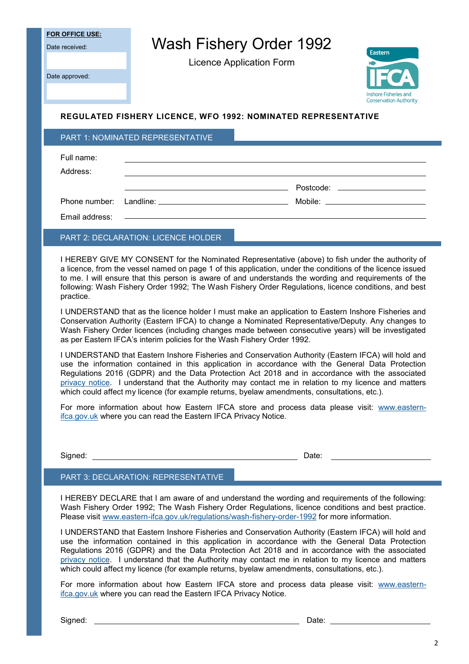**FOR OFFICE USE:**

Date received:

Date approved:

Wash Fishery Order 1992

Licence Application Form



### **REGULATED FISHERY LICENCE, WFO 1992: NOMINATED REPRESENTATIVE**

#### PART 1: NOMINATED REPRESENTATIVE

| Full name:<br>Address: | <u> 1989 - Johann Stein, mars and de Britain (b. 1989)</u> |  |
|------------------------|------------------------------------------------------------|--|
|                        | Mobile: __________________________                         |  |

### PART 2: DECLARATION: LICENCE HOLDER

I HEREBY GIVE MY CONSENT for the Nominated Representative (above) to fish under the authority of a licence, from the vessel named on page 1 of this application, under the conditions of the licence issued to me. I will ensure that this person is aware of and understands the wording and requirements of the following: Wash Fishery Order 1992; The Wash Fishery Order Regulations, licence conditions, and best practice.

I UNDERSTAND that as the licence holder I must make an application to Eastern Inshore Fisheries and Conservation Authority (Eastern IFCA) to change a Nominated Representative/Deputy. Any changes to Wash Fishery Order licences (including changes made between consecutive years) will be investigated as per Eastern IFCA's interim policies for the Wash Fishery Order 1992.

I UNDERSTAND that Eastern Inshore Fisheries and Conservation Authority (Eastern IFCA) will hold and use the information contained in this application in accordance with the General Data Protection Regulations 2016 (GDPR) and the Data Protection Act 2018 and in accordance with the associated [privacy notice.](https://www.eastern-ifca.gov.uk/privacy-notices-and-data-protection-policies/) I understand that the Authority may contact me in relation to my licence and matters which could affect my licence (for example returns, byelaw amendments, consultations, etc.).

For more information about how Eastern IFCA store and process data please visit: [www.eastern](https://www.eastern-ifca.gov.uk/privacy-notices-and-data-protection-policies/)[ifca.gov.uk](https://www.eastern-ifca.gov.uk/privacy-notices-and-data-protection-policies/) where you can read the Eastern IFCA Privacy Notice.

Signed: Date:

#### PART 3: DECLARATION: REPRESENTATIVE

I HEREBY DECLARE that I am aware of and understand the wording and requirements of the following: Wash Fishery Order 1992; The Wash Fishery Order Regulations, licence conditions and best practice. Please visit www.eastern-[ifca.gov.uk/regulations/wash](https://www.eastern-ifca.gov.uk/regulations/wash-fishery-order-1992/)-fishery-order-1992 for more information.

I UNDERSTAND that Eastern Inshore Fisheries and Conservation Authority (Eastern IFCA) will hold and use the information contained in this application in accordance with the General Data Protection Regulations 2016 (GDPR) and the Data Protection Act 2018 and in accordance with the associated [privacy notice.](https://www.eastern-ifca.gov.uk/privacy-notices-and-data-protection-policies/) I understand that the Authority may contact me in relation to my licence and matters which could affect my licence (for example returns, byelaw amendments, consultations, etc.).

For more information about how Eastern IFCA store and process data please visit: [www.eastern](https://www.eastern-ifca.gov.uk/privacy-notices-and-data-protection-policies/)[ifca.gov.uk](https://www.eastern-ifca.gov.uk/privacy-notices-and-data-protection-policies/) where you can read the Eastern IFCA Privacy Notice.

Signed: **Date:** Date: **Date: Date: Date: Date: Date: Date: Date: Date: Date: Date: Date: Date: Date: Date: Date: Date: Date: Date: Date: Date: Date: Date: Date: Date: Date:**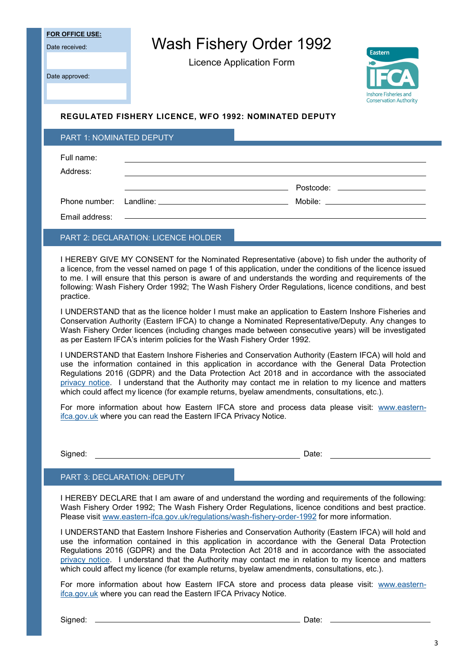**FOR OFFICE USE:**

Date received:

Wash Fishery Order 1992

Licence Application Form

Date approved:



### **REGULATED FISHERY LICENCE, WFO 1992: NOMINATED DEPUTY**

| <b>PART 1: NOMINATED DEPUTY</b>            |                                                                                                                 |  |  |                                                                                                                                                                                                                                |
|--------------------------------------------|-----------------------------------------------------------------------------------------------------------------|--|--|--------------------------------------------------------------------------------------------------------------------------------------------------------------------------------------------------------------------------------|
| Full name:<br>Address:                     |                                                                                                                 |  |  |                                                                                                                                                                                                                                |
|                                            |                                                                                                                 |  |  |                                                                                                                                                                                                                                |
|                                            | Phone number: Landline: example and the set of the set of the set of the set of the set of the set of the set o |  |  | Mobile: when the contract of the contract of the contract of the contract of the contract of the contract of the contract of the contract of the contract of the contract of the contract of the contract of the contract of t |
|                                            |                                                                                                                 |  |  |                                                                                                                                                                                                                                |
| <b>PART 2: DECLARATION: LICENCE HOLDER</b> |                                                                                                                 |  |  |                                                                                                                                                                                                                                |

I HEREBY GIVE MY CONSENT for the Nominated Representative (above) to fish under the authority of a licence, from the vessel named on page 1 of this application, under the conditions of the licence issued to me. I will ensure that this person is aware of and understands the wording and requirements of the following: Wash Fishery Order 1992; The Wash Fishery Order Regulations, licence conditions, and best practice.

I UNDERSTAND that as the licence holder I must make an application to Eastern Inshore Fisheries and Conservation Authority (Eastern IFCA) to change a Nominated Representative/Deputy. Any changes to Wash Fishery Order licences (including changes made between consecutive years) will be investigated as per Eastern IFCA's interim policies for the Wash Fishery Order 1992.

I UNDERSTAND that Eastern Inshore Fisheries and Conservation Authority (Eastern IFCA) will hold and use the information contained in this application in accordance with the General Data Protection Regulations 2016 (GDPR) and the Data Protection Act 2018 and in accordance with the associated [privacy notice.](https://www.eastern-ifca.gov.uk/privacy-notices-and-data-protection-policies/) I understand that the Authority may contact me in relation to my licence and matters which could affect my licence (for example returns, byelaw amendments, consultations, etc.).

For more information about how Eastern IFCA store and process data please visit: [www.eastern](https://www.eastern-ifca.gov.uk/privacy-notices-and-data-protection-policies/)[ifca.gov.uk](https://www.eastern-ifca.gov.uk/privacy-notices-and-data-protection-policies/) where you can read the Eastern IFCA Privacy Notice.

Signed: Date:

### PART 3: DECLARATION: DEPUTY

I HEREBY DECLARE that I am aware of and understand the wording and requirements of the following: Wash Fishery Order 1992; The Wash Fishery Order Regulations, licence conditions and best practice. Please visit www.eastern-[ifca.gov.uk/regulations/wash](https://www.eastern-ifca.gov.uk/regulations/wash-fishery-order-1992/)-fishery-order-1992 for more information.

I UNDERSTAND that Eastern Inshore Fisheries and Conservation Authority (Eastern IFCA) will hold and use the information contained in this application in accordance with the General Data Protection Regulations 2016 (GDPR) and the Data Protection Act 2018 and in accordance with the associated [privacy notice.](https://www.eastern-ifca.gov.uk/privacy-notices-and-data-protection-policies/) I understand that the Authority may contact me in relation to my licence and matters which could affect my licence (for example returns, byelaw amendments, consultations, etc.).

For more information about how Eastern IFCA store and process data please visit: [www.eastern](https://www.eastern-ifca.gov.uk/privacy-notices-and-data-protection-policies/)[ifca.gov.uk](https://www.eastern-ifca.gov.uk/privacy-notices-and-data-protection-policies/) where you can read the Eastern IFCA Privacy Notice.

Signed: Date: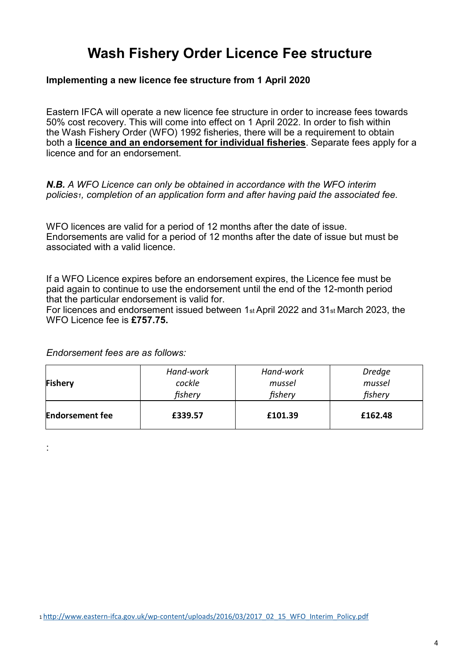## **Wash Fishery Order Licence Fee structure**

### **Implementing a new licence fee structure from 1 April 2020**

Eastern IFCA will operate a new licence fee structure in order to increase fees towards 50% cost recovery. This will come into effect on 1 April 2022. In order to fish within the Wash Fishery Order (WFO) 1992 fisheries, there will be a requirement to obtain both a **licence and an endorsement for individual fisheries**. Separate fees apply for a licence and for an endorsement.

*N.B. A WFO Licence can only be obtained in accordance with the WFO interim policies1, completion of an application form and after having paid the associated fee.*

WFO licences are valid for a period of 12 months after the date of issue. Endorsements are valid for a period of 12 months after the date of issue but must be associated with a valid licence.

If a WFO Licence expires before an endorsement expires, the Licence fee must be paid again to continue to use the endorsement until the end of the 12-month period that the particular endorsement is valid for.

For licences and endorsement issued between 1st April 2022 and 31st March 2023, the WFO Licence fee is **£757.75.**

*Endorsement fees are as follows:*

| <b>Fishery</b>         | Hand-work | Hand-work | <b>Dredge</b> |
|------------------------|-----------|-----------|---------------|
|                        | cockle    | mussel    | mussel        |
|                        | fishery   | fishery   | fishery       |
| <b>Endorsement fee</b> | £339.57   | £101.39   | £162.48       |

: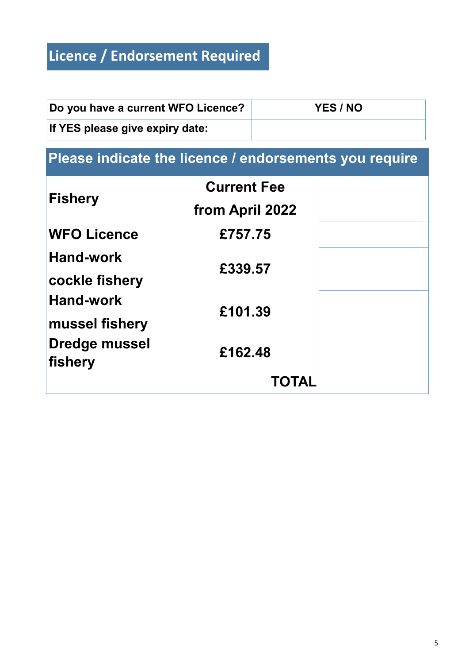# **Licence / Endorsement Required**

| Do you have a current WFO Licence? | YES / NO |
|------------------------------------|----------|
| If YES please give expiry date:    |          |

## LICENCE/ENDORSEMENT REQ **Please indicate the licence / endorsements you require**

|                      | <b>Current Fee</b> |  |
|----------------------|--------------------|--|
| Fishery              | from April 2022    |  |
| <b>WFO Licence</b>   | £757.75            |  |
| <b>Hand-work</b>     | £339.57            |  |
| cockle fishery       |                    |  |
| <b>Hand-work</b>     | £101.39            |  |
| mussel fishery       |                    |  |
| <b>Dredge mussel</b> | £162.48            |  |
| fishery              |                    |  |
|                      | <b>TOTAL</b>       |  |